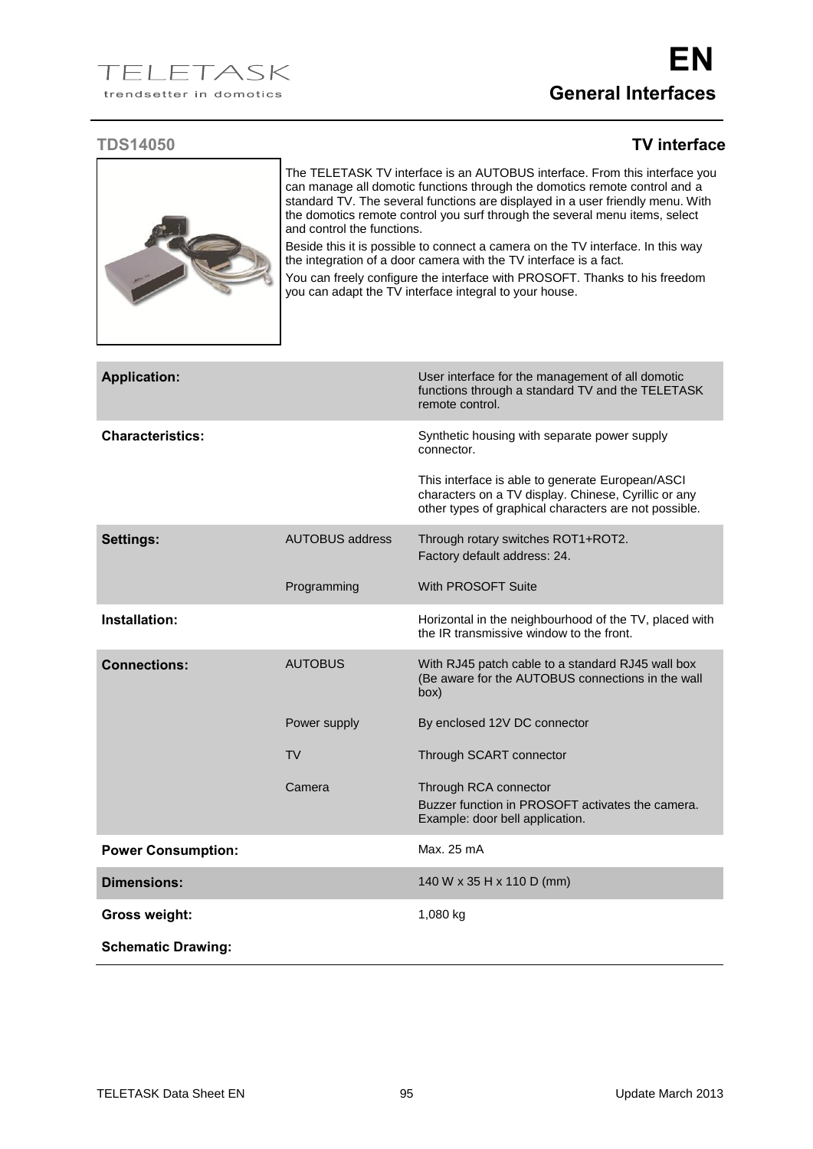## **TDS14050 TV interface**



The TELETASK TV interface is an AUTOBUS interface. From this interface you can manage all domotic functions through the domotics remote control and a standard TV. The several functions are displayed in a user friendly menu. With the domotics remote control you surf through the several menu items, select and control the functions.

Beside this it is possible to connect a camera on the TV interface. In this way the integration of a door camera with the TV interface is a fact.

You can freely configure the interface with PROSOFT. Thanks to his freedom you can adapt the TV interface integral to your house.

| <b>Application:</b>       |                        | User interface for the management of all domotic<br>functions through a standard TV and the TELETASK<br>remote control.                                           |
|---------------------------|------------------------|-------------------------------------------------------------------------------------------------------------------------------------------------------------------|
| <b>Characteristics:</b>   |                        | Synthetic housing with separate power supply<br>connector.                                                                                                        |
|                           |                        | This interface is able to generate European/ASCI<br>characters on a TV display. Chinese, Cyrillic or any<br>other types of graphical characters are not possible. |
| <b>Settings:</b>          | <b>AUTOBUS address</b> | Through rotary switches ROT1+ROT2.<br>Factory default address: 24.                                                                                                |
|                           | Programming            | With PROSOFT Suite                                                                                                                                                |
| Installation:             |                        | Horizontal in the neighbourhood of the TV, placed with<br>the IR transmissive window to the front.                                                                |
| <b>Connections:</b>       | <b>AUTOBUS</b>         | With RJ45 patch cable to a standard RJ45 wall box<br>(Be aware for the AUTOBUS connections in the wall<br>(box                                                    |
|                           | Power supply           | By enclosed 12V DC connector                                                                                                                                      |
|                           | TV                     | Through SCART connector                                                                                                                                           |
|                           | Camera                 | Through RCA connector<br>Buzzer function in PROSOFT activates the camera.<br>Example: door bell application.                                                      |
| <b>Power Consumption:</b> |                        | Max. 25 mA                                                                                                                                                        |
| <b>Dimensions:</b>        |                        | 140 W x 35 H x 110 D (mm)                                                                                                                                         |
| <b>Gross weight:</b>      |                        | 1,080 kg                                                                                                                                                          |
| <b>Schematic Drawing:</b> |                        |                                                                                                                                                                   |